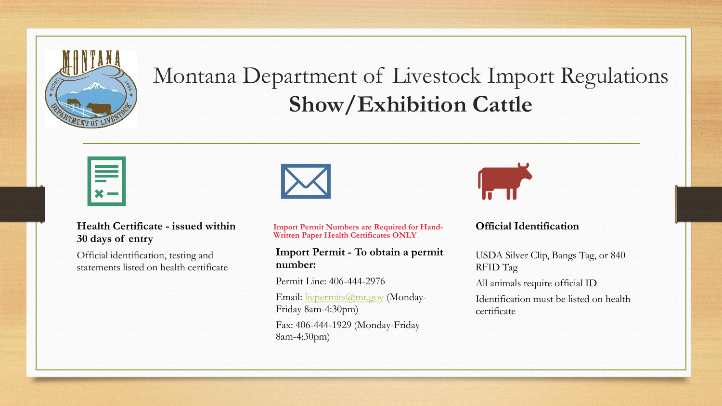

## Montana Department of Livestock Import Regulations **Show/Exhibition Cattle**

#### **Health Certificate - issued within 30 days of entry**

Official identification, testing and statements listed on health certificate **Import Permit Numbers are Required for Hand-Written Paper Health Certificates ONLY**

#### **Import Permit - To obtain a permit number:**

Permit Line: 406-444-2976 Email: [livpermits@mt.gov](mailto:livpermits@mt.gov) (Monday-Friday 8am-4:30pm)

Fax: 406-444-1929 (Monday-Friday 8am-4:30pm)



#### **Official Identification**

USDA Silver Clip, Bangs Tag, or 840 RFID Tag

All animals require official ID

Identification must be listed on health certificate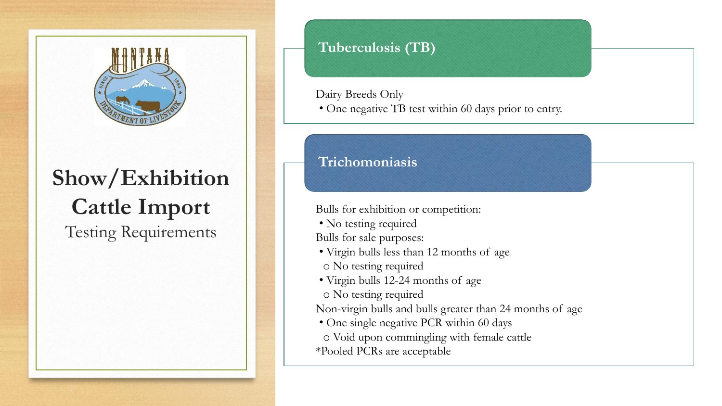

# **Show/Exhibition Cattle Import**

Testing Requirements

#### **Tuberculosis (TB)**

Dairy Breeds Only

• One negative TB test within 60 days prior to entry.

### **Trichomoniasis**

Bulls for exhibition or competition:

- No testing required
- Bulls for sale purposes:
- Virgin bulls less than 12 months of age
- o No testing required
- Virgin bulls 12-24 months of age

o No testing required

Non-virgin bulls and bulls greater than 24 months of age

• One single negative PCR within 60 days

o Void upon commingling with female cattle

\*Pooled PCRs are acceptable